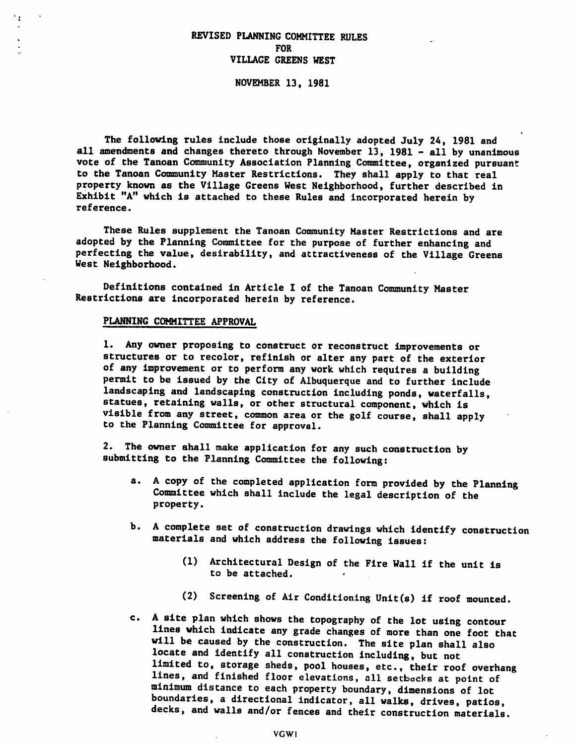# REVISED PLANNING COMMITTEE RULES FOR VILLAGE GREENS WEST

NOVEMBER 13, 1981

The following rules include those originally adopted July 24, 1981 and all amendments and changes thereto through November 13, 1981 - all by unanimous vote of the Tanoan Community Association Planning Committee, organized pursuant to the Tanoan Community Master Restrictions. They shall apply to that real property known as the Village Greens West Neighborhood, further described in Exhibit "A" which is attached to these Rules and incorporated herein by reference.

These Rules supplement the Tanoan Community Master Restrictions and are adopted by the Planning Committee for the purpose of further enhancing and perfecting the value, desirability, and attractiveness of the Village Greens West Neighborhood.

Definitions contained in Article I of the Tanoan Community Master Restrictions are incorporated herein by reference.

#### PLANNING COMMITTEE APPROVAL

 $\mathbf{r}$ 

1. Any owner proposing to construct or reconstruct improvements or structures or to recolor, refinish or alter any part of the exterior of any improvement or to perform any work which requires a building permit to be issued by the City of Albuquerque and to further include landscaping and landscaping construction including ponds, waterfalls, statues, retaining walls, or other structural component, which is visible from any street, common area or the golf course, shall apply to the Planning Committee for approval.

2. The owner shall make application for any such construction by submitting to the Planning Committee the following:

- a. A copy of the completed application form provided by the Planning Committee which shall include the legal description of the property.
- b. A complete set of construction drawings which identify construction materials and which address the following issues:
	- (1) Architectural Design of the Fire Wall if the unit is to be attached.
	- (2) Screening of Air Conditioning Unit(s) if roof mounted.
- c. A site plan which shows the topography of the lot using contour lines which indicate any grade changes of more than one foot that will be caused by the construction. The site plan shall also locate and identify all construction including, but not limited to, storage sheds, pool houses, etc., their roof overhang lines, and finished floor elevations, all setbacks at point of minimum distance to each property boundary, dimensions of lot boundaries, a directional indicator, all walks, drives, patios, decks, and walls and/or fences and their construction materials.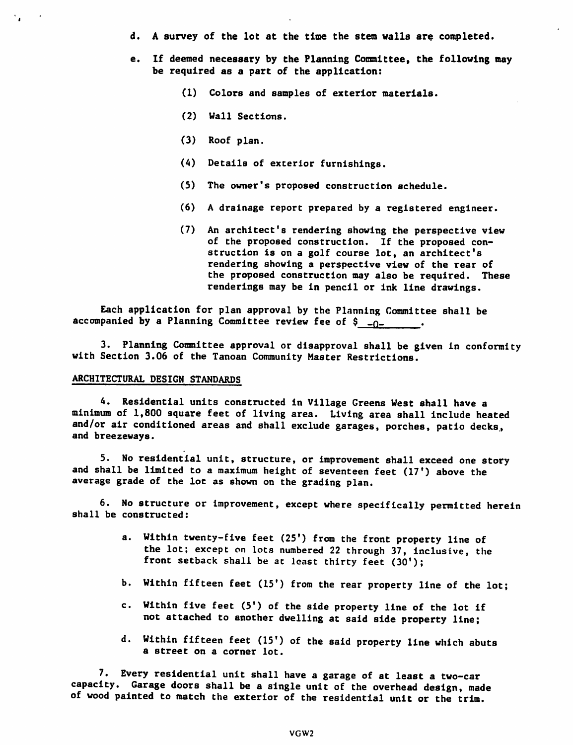- d. A survey of the lot at the time the stem walls are completed.
- e. If deemed necessary by the Planning Committee, the following may be required as a part of the application:
	- (1) Colors and samples of exterior materials.
	- (2) Wall Sections.
	- (3) Roof plan.
	- (4) Details of exterior furnishings.
	- (5) The owner's proposed construction schedule.
	- (6) A drainage report prepared by a registered engineer.
	- (7) An architect'8 rendering showing the perspective view of the proposed construction. If the proposed con struction is on a golf course lot, an architect's rendering showing a perspective view of the rear of the proposed construction may also be required. These renderings may be in pencil or ink line drawings.

Each application for plan approval by the Planning Committee shall be accompanied by a Planning Committee review fee of  $\frac{1}{2}$  -0-

3. Planning Committee approval or disapproval shall be given in conformity with Section 3.06 of the Tanoan Community Master Restrictions.

## ARCHITECTURAL DESIGN STANDARDS

 $\mathcal{L}_{\mathbf{a}}$ 

4. Residential units constructed in Village Greens West shall have a minimum of 1,800 square feet of living area. Living area shall include heated and/or air conditioned areas and shall exclude garages, porches, patio decks., and breezeways.

5. No residential unit, structure, or Improvement shall exceed one story and shall be limited to a maximum height of seventeen feet (17') above the average grade of the lot as shown on the grading plan.

6. No structure or improvement, except where specifically permitted herein shall be constructed:

- a. Within twenty-five feet (25') from the front property line of the lot; except on lots numbered 22 through 37, inclusive, the front setback shall be at least thirty feet (30');
- b. Within fifteen feet (15') from the rear property line of the lot;
- c. Within five feet (5') of the side property line of the lot if not attached to another dwelling at said side property line;
- d. Within fifteen feet (15') of the said property line which abuts a street on a corner lot.

7. Every residential unit shall have a garage of at least a two-car capacity. Garage doors shall be a single unit of the overhead design, made of wood painted to match the exterior of the residential unit or the trim.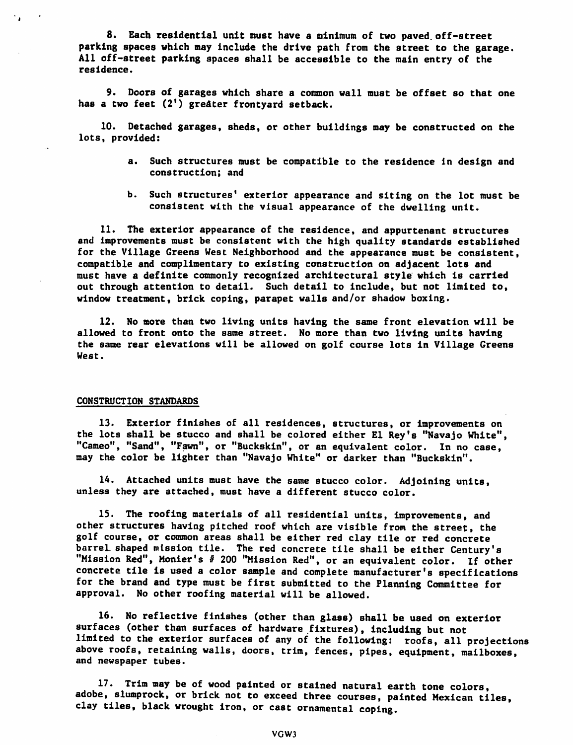8. Each residential unit must have a minimum of two paved, off-street parking spaces which may Include the drive path from the street to the garage. All off-street parking spaces shall be accessible to the main entry of the residence.

9. Doors of garages which share a common wall must be offset so that one has a two feet (2<sup>1</sup>) greater frontyard setback.

10. Detached garages, sheds, or other buildings may be constructed on the lots, provided:

- a. Such structures must be compatible to the residence in design and construction; and
- b. Such structures' exterior appearance and siting on the lot must be consistent with the visual appearance of the dwelling unit.

11. The exterior appearance of the residence, and appurtenant structures and improvements must be consistent with the high quality standards established for the Village Greens West Neighborhood and the appearance must be consistent, compatible and complimentary to existing construction on adjacent lots and must have a definite commonly recognized architectural style which is carried out through attention to detail. Such detail to include, but not limited to, window treatment, brick coping, parapet walls and/or shadow boxing.

12. No more than two living units having the same front elevation will be allowed to front onto the same street. No more than two living units having the same rear elevations will be allowed on golf course lots in Village Greens West.

### CONSTRUCTION STANDARDS

13. Exterior finishes of all residences, structures, or improvements on the lots shall be stucco and shall be colored either El Rey's "Navajo White", "Cameo", "Sand", "Fawn", or "Buckskin", or an equivalent color. In no case, may the color be lighter than "Navajo White" or darker than "Buckskin".

14. Attached units must have the same stucco color. Adjoining units, unless they are attached, must have a different stucco color.

15. The roofing materials of all residential units, improvements, and other structures having pitched roof which are visible from the street, the golf course, or common areas shall be either red clay tile or red concrete barrel, shaped mission tile. The red concrete tile shall be either Century's "Mission Red", Monier's # 200 "Mission Red", or an equivalent color. If other concrete tile is used a color sample and complete manufacturer's specifications for the brand and type must be first submitted to the Planning Committee for approval. No other roofing material will be allowed.

16. No reflective finishes (other than glass) shall be used on exterior surfaces (other than surfaces of hardware fixtures), including but not limited to the exterior surfaces of any of the following: roofs, all projections above roofs, retaining walls, doors, trim, fences, pipes, equipment, mailboxes, and newspaper tubes.

17. Trim may be of wood painted or stained natural earth tone colors, adobe, slumprock, or brick not to exceed three courses, painted Mexican tiles, clay tiles, black wrought iron, or cast ornamental coping.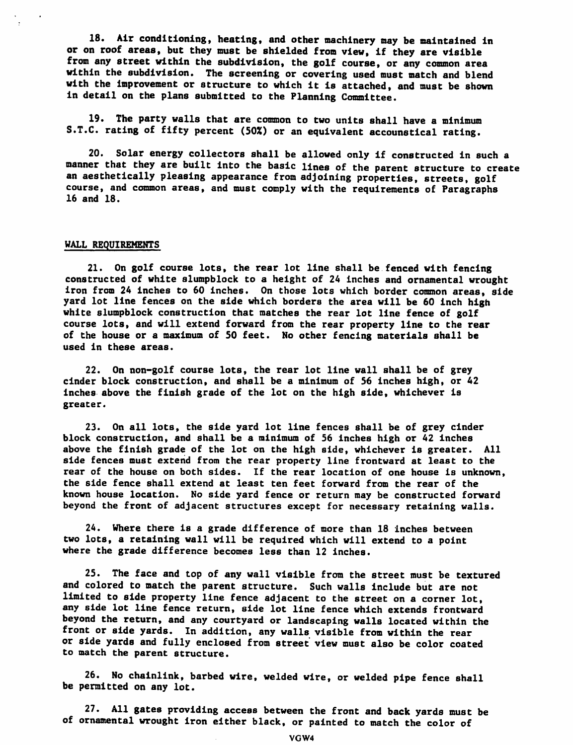18. Air conditioning, heating, and other machinery may be maintained in or on roof areas, but they must be shielded from view, if they are visible from any street within the subdivision, the golf course, or any common area within the subdivision. The screening or covering used must match and blend with the improvement or structure to which it is attached, and must be shown in detail on the plans submitted to the Planning Committee.

19. The party walls that are common to two units shall have a minimum S.T.C. rating of fifty percent (50%) or an equivalent accounstical rating.

20. Solar energy collectors shall be allowed only if constructed in such a manner that they are built into the basic lines of the parent structure to create an aesthetically pleasing appearance from adjoining properties, streets, golf course, and common areas, and must comply with the requirements of Paragraphs 16 and 18.

### WALL REQUIREMENTS

21. On golf course lots, the rear lot line shall be fenced with fencing constructed of white slumpblock to a height of 24 inches and ornamental wrought iron from 24 inches to 60 Inches. On those lots which border common areas, side yard lot line fences on the side which borders the area will be 60 inch high white slumpblock construction that matches the rear lot line fence of golf course lots, and will extend forward from the rear property line to the rear of the house or a maximum of 50 feet. No other fencing materials shall be used in these areas.

22. On non-golf course lots, the rear lot line wall shall be of grey cinder block construction, and shall be a minimum of 56 inches high, or 42 inches above the finish grade of the lot on the high side, whichever is greater.

23. On all lots, the side yard lot line fences shall be of grey cinder block construction, and shall be a minimum of 56 inches high or 42 inches above the finish grade of the lot on the high side, whichever is greater. All side fences must extend from the rear property line frontward at least to the rear of the house on both sides. If the rear location of one house is unknown, the side fence shall extend at least ten feet forward from the rear of the known house location. No side yard fence or return may be constructed forward beyond the front of adjacent structures except for necessary retaining walls.

24. Where there is a grade difference of more than 18 inches between two lots, a retaining wall will be required which will extend to a point where the grade difference becomes less than 12 Inches.

25. The face and top of any wall visible from the street must be textured and colored to match the parent structure. Such walls include but are not limited to side property line fence adjacent to the street on a corner lot, any side lot line fence return, side lot line fence which extends frontward beyond the return, and any courtyard or landscaping walls located within the front or side yards. In addition, any walls visible from within the rear or side yards and fully enclosed from street view must also be color coated to match the parent structure.

26. No chainlink, barbed wire, welded wire, or welded pipe fence shall be permitted on any lot.

27. All gates providing access between the front and back yards must be of ornamental wrought iron either black, or painted to match the color of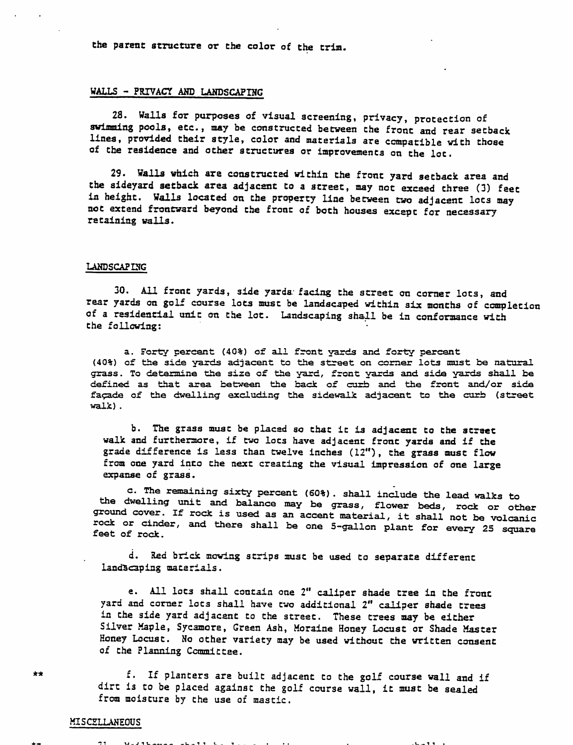the parent structure or the color of the trim.

#### WALLS - PRIVACY AND LANDSCAPING

28. Walls for purposes of visual screening, privacy, protection of swimming pools, etc., may be constructed between the front and rear setback lines, provided their style, color and materials are compatible with those of the residence and other structures or improvements on the lot.

29. Walls which are constructed within the front yard setback area and the sideyard setback area adjacent to a street, may not exceed three (3) feet in height. Walls located on the property line between two adjacent lots may not extend frontward beyond the front of both houses except for necessary retaining walls.

#### LANDSCAPING

30. All front yards, side yards facing the street on corner lots, and rear yards on golf course lots must be landscaped within six months of completion of a residential unit on the lot. Landscaping shall be in conformance with the following:

a. Forty percent (40%) of all front yards and forty percent (40%) of the side yards adjacent to the street on corner lots must be natural grass. To determine the size of the yard, front yards and side yards shall be defined as that area between the back of curb and the front and/or side facade of the dwelling excluding the sidewalk adjacent to the curb (street walk).

b. The grass must be placed so that ic is adjacent to the street walk and furthermore, if two lots have adjacent front yards and if the grade difference is less than twelve inches (12"), the grass must flow from one yard into the next creating the visual impression of one large expanse of grass.

c. The remaining sixty percent (60%). shall include the lead walks to the dwelling unit and balance may be grass, flower beds, rock or other ground cover, if rock is used as an accent material, it shall not be volcanic rock or cinder, and there shall be one 5-gallon plant for every 25 square feet of rock.

d. Red brick mowing strips must be used to separate different landscaping materials.

e. All lots shall contain one 2" caliper shade tree in the front yard and corner lots shall have two additional 2" caliper shade trees in the side yard adjacent to the street. These trees may be either Silver Maple, Sycamore, Green Ash, Moraine Honey Locust or Shade Master Honey Locust. No other variety may be used without the written consent of the Planning Committee.

f. If planters are built adjacent to the golf course wall and if dirt is to be placed against the golf course wall, it must be sealed from moisture by the use of mastic.

## **MISCELLANEOUS**

\j\_ **<sup>j</sup>** <sup>i</sup> <sup>v</sup> ..\_\_ \_

\*\*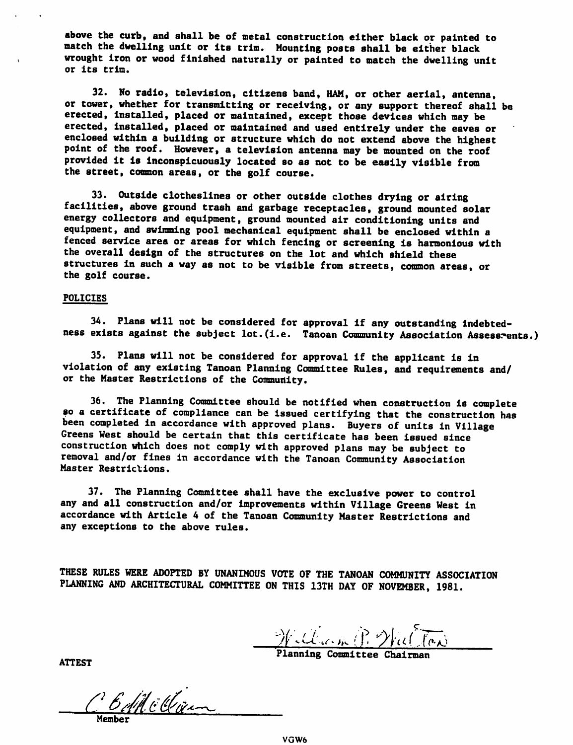above the curb, and shall be of metal construction either black or painted to match the dwelling unit or its trim. Mounting posts shall be either black wrought Iron or wood finished naturally or painted to match the dwelling unit or its trim.

32. No radio, television, citizens band, HAM, or other aerial, antenna, or tower, whether for transmitting or receiving, or any support thereof shall be erected, installed, placed or maintained, except those devices which may be erected, installed, placed or maintained and used entirely under the eaves or enclosed within a building or structure which do not extend above the highest point of the roof. However, a television antenna may be mounted on the roof provided It is Inconspicuously located so as not to be easily visible from the street, common areas, or the golf course.

33. Outside clotheslines or other outside clothes drying or airing facilities, above ground trash and garbage receptacles, ground mounted solar energy collectors and equipment, ground mounted air conditioning units and equipment, and swimming pool mechanical equipment shall be enclosed within a fenced service area or areas for which fencing or screening is harmonious with the overall design of the structures on the lot and which shield these structures in such a way as not to be visible from streets, common areas, or the golf course.

### POLICIES

34. Plans will not be considered for approval if any outstanding indebted ness exists against the subject lot. (i.e. Tanoan Community Association Assessments.)

35. Plans will not be considered for approval if the applicant is in violation of any existing Tanoan Planning Committee Rules, and requirements and/ or the Master Restrictions of the Community.

36. The Planning Committee should be notified when construction is complete so a certificate of compliance can be issued certifying that the construction has been completed in accordance with approved plans. Buyers of units in Village Greens West should be certain that this certificate has been issued since construction which does not comply with approved plans may be subject to removal and/or fines in accordance with the Tanoan Community Association Master Restrictions.

37. The Planning Committee shall have the exclusive power to control any and all construction and/or improvements within Village Greens West in accordance with Article 4 of the Tanoan Community Master Restrictions and any exceptions to the above rules.

THESE RULES WERE ADOPTED BY UNANIMOUS VOTE OF THE TANOAN COMMUNITY ASSOCIATION PLANNING AND ARCHITECTURAL COMMITTEE ON THIS 13TH DAY OF NOVEMBER, 1981.

William P. Wal Ton

Planning Committee Chairman

ATTEST

CB All cClien Member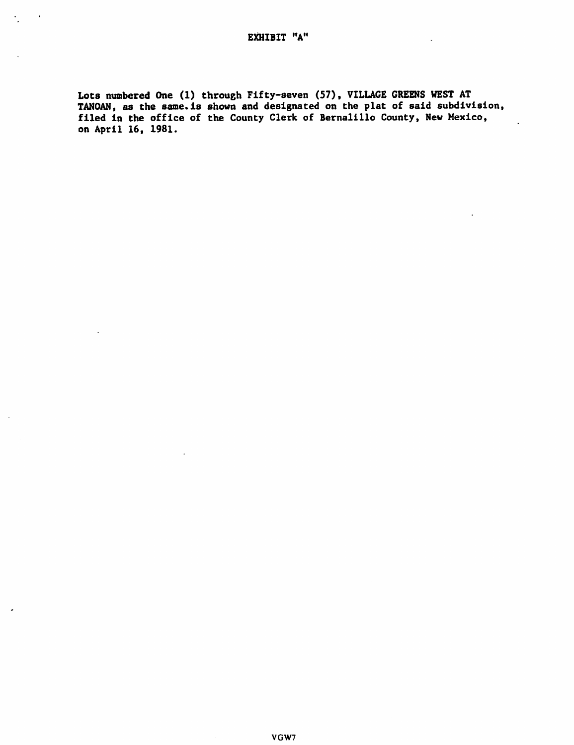$\ddot{\phantom{a}}$ 

Lots numbered One (1) through Fifty-seven (57), VILLAGE GREENS WEST AT TANOAN, as the same. is shown and designated on the plat of said subdivision, filed in the office of the County Clerk of Bernalillo County, New Mexico, on April 16, 1981.